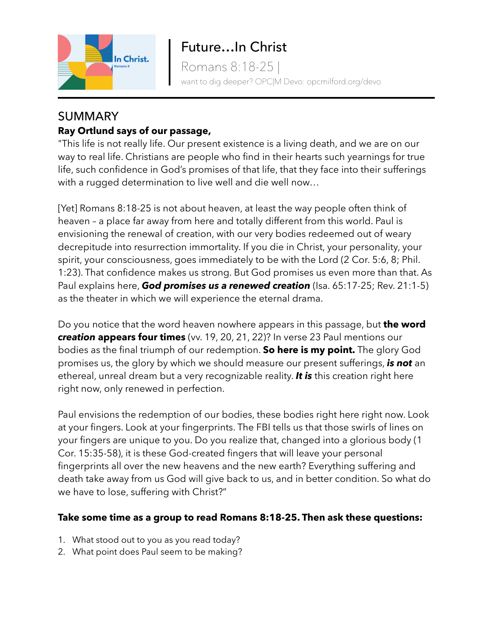

Romans 8:18-25 | want to dig deeper? OPC|M Devo: opcmilford.org/devo

## SUMMARY **Ray Ortlund says of our passage,**

"This life is not really life. Our present existence is a living death, and we are on our way to real life. Christians are people who find in their hearts such yearnings for true life, such confidence in God's promises of that life, that they face into their sufferings with a rugged determination to live well and die well now…

[Yet] Romans 8:18-25 is not about heaven, at least the way people often think of heaven – a place far away from here and totally different from this world. Paul is envisioning the renewal of creation, with our very bodies redeemed out of weary decrepitude into resurrection immortality. If you die in Christ, your personality, your spirit, your consciousness, goes immediately to be with the Lord (2 Cor. 5:6, 8; Phil. 1:23). That confidence makes us strong. But God promises us even more than that. As Paul explains here, *God promises us a renewed creation* (Isa. 65:17-25; Rev. 21:1-5) as the theater in which we will experience the eternal drama.

Do you notice that the word heaven nowhere appears in this passage, but **the word** *creation* **appears four times** (vv. 19, 20, 21, 22)? In verse 23 Paul mentions our bodies as the final triumph of our redemption. **So here is my point.** The glory God promises us, the glory by which we should measure our present sufferings, *is not* an ethereal, unreal dream but a very recognizable reality. *It is* this creation right here right now, only renewed in perfection.

Paul envisions the redemption of our bodies, these bodies right here right now. Look at your fingers. Look at your fingerprints. The FBI tells us that those swirls of lines on your fingers are unique to you. Do you realize that, changed into a glorious body (1 Cor. 15:35-58), it is these God-created fingers that will leave your personal fingerprints all over the new heavens and the new earth? Everything suffering and death take away from us God will give back to us, and in better condition. So what do we have to lose, suffering with Christ?"

## **Take some time as a group to read Romans 8:18-25. Then ask these questions:**

- 1. What stood out to you as you read today?
- 2. What point does Paul seem to be making?